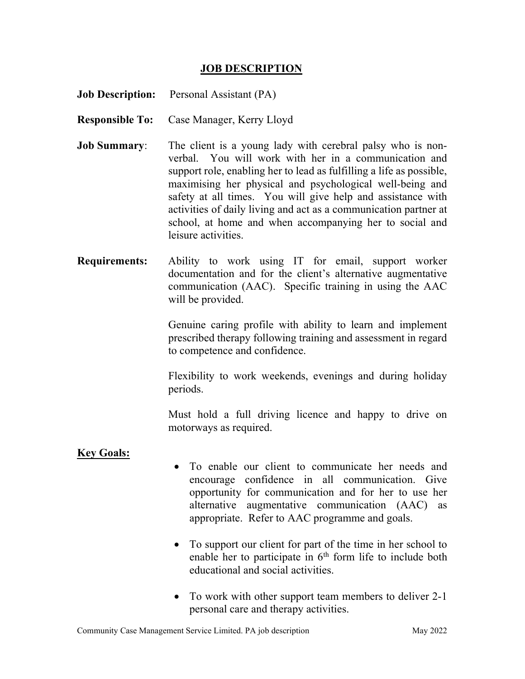## JOB DESCRIPTION

|                        | <b>Job Description:</b> Personal Assistant (PA)                                                                                                                                                                                                                                                                                                                                                                                                                              |
|------------------------|------------------------------------------------------------------------------------------------------------------------------------------------------------------------------------------------------------------------------------------------------------------------------------------------------------------------------------------------------------------------------------------------------------------------------------------------------------------------------|
| <b>Responsible To:</b> | Case Manager, Kerry Lloyd                                                                                                                                                                                                                                                                                                                                                                                                                                                    |
| <b>Job Summary:</b>    | The client is a young lady with cerebral palsy who is non-<br>verbal. You will work with her in a communication and<br>support role, enabling her to lead as fulfilling a life as possible,<br>maximising her physical and psychological well-being and<br>safety at all times. You will give help and assistance with<br>activities of daily living and act as a communication partner at<br>school, at home and when accompanying her to social and<br>leisure activities. |
| <b>Requirements:</b>   | Ability to work using IT for email, support worker<br>documentation and for the client's alternative augmentative<br>communication (AAC). Specific training in using the AAC<br>will be provided.                                                                                                                                                                                                                                                                            |
|                        | Genuine caring profile with ability to learn and implement<br>prescribed therapy following training and assessment in regard<br>to competence and confidence.                                                                                                                                                                                                                                                                                                                |

 Flexibility to work weekends, evenings and during holiday periods.

Must hold a full driving licence and happy to drive on motorways as required.

## Key Goals:

- To enable our client to communicate her needs and encourage confidence in all communication. Give opportunity for communication and for her to use her alternative augmentative communication (AAC) as appropriate. Refer to AAC programme and goals.
- To support our client for part of the time in her school to enable her to participate in 6<sup>th</sup> form life to include both educational and social activities.
- To work with other support team members to deliver 2-1 personal care and therapy activities.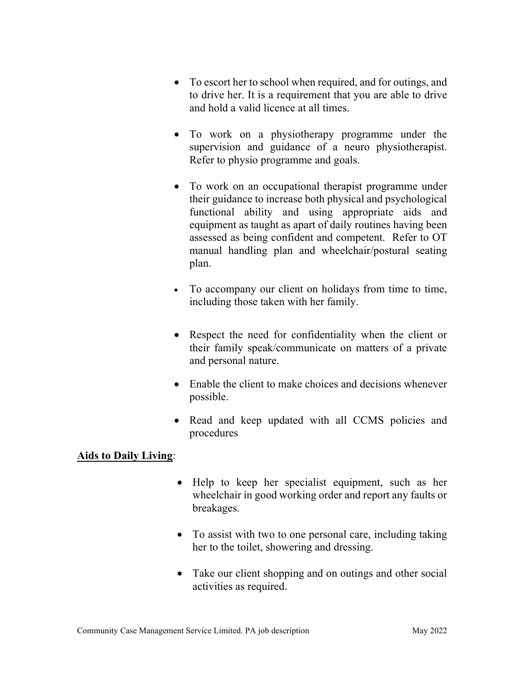- To escort her to school when required, and for outings, and to drive her. It is a requirement that you are able to drive and hold a valid licence at all times.
- To work on a physiotherapy programme under the supervision and guidance of a neuro physiotherapist. Refer to physio programme and goals.
- To work on an occupational therapist programme under their guidance to increase both physical and psychological functional ability and using appropriate aids and equipment as taught as apart of daily routines having been assessed as being confident and competent. Refer to OT manual handling plan and wheelchair/postural seating plan.
- To accompany our client on holidays from time to time, including those taken with her family.
- Respect the need for confidentiality when the client or their family speak/communicate on matters of a private and personal nature.
- Enable the client to make choices and decisions whenever possible.
- Read and keep updated with all CCMS policies and procedures

## Aids to Daily Living:

- Help to keep her specialist equipment, such as her wheelchair in good working order and report any faults or breakages.
- To assist with two to one personal care, including taking her to the toilet, showering and dressing.
- Take our client shopping and on outings and other social activities as required.